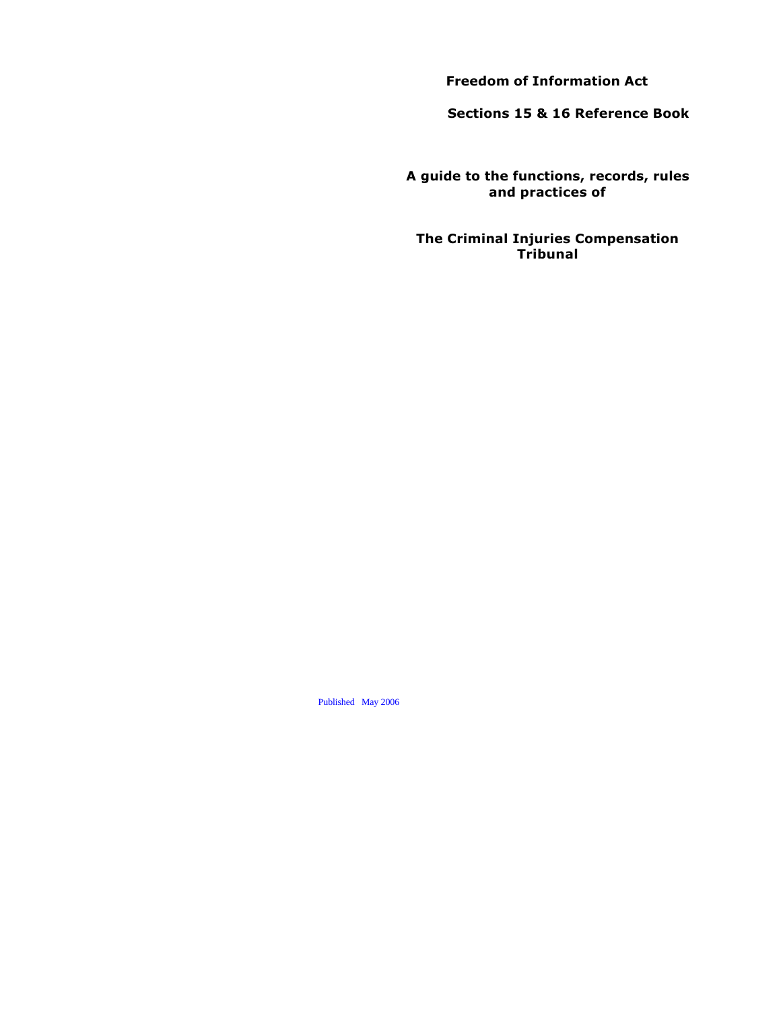**Freedom of Information Act**

**Sections 15 & 16 Reference Book**

**A guide to the functions, records, rules and practices of**

**The Criminal Injuries Compensation Tribunal**

Published May 2006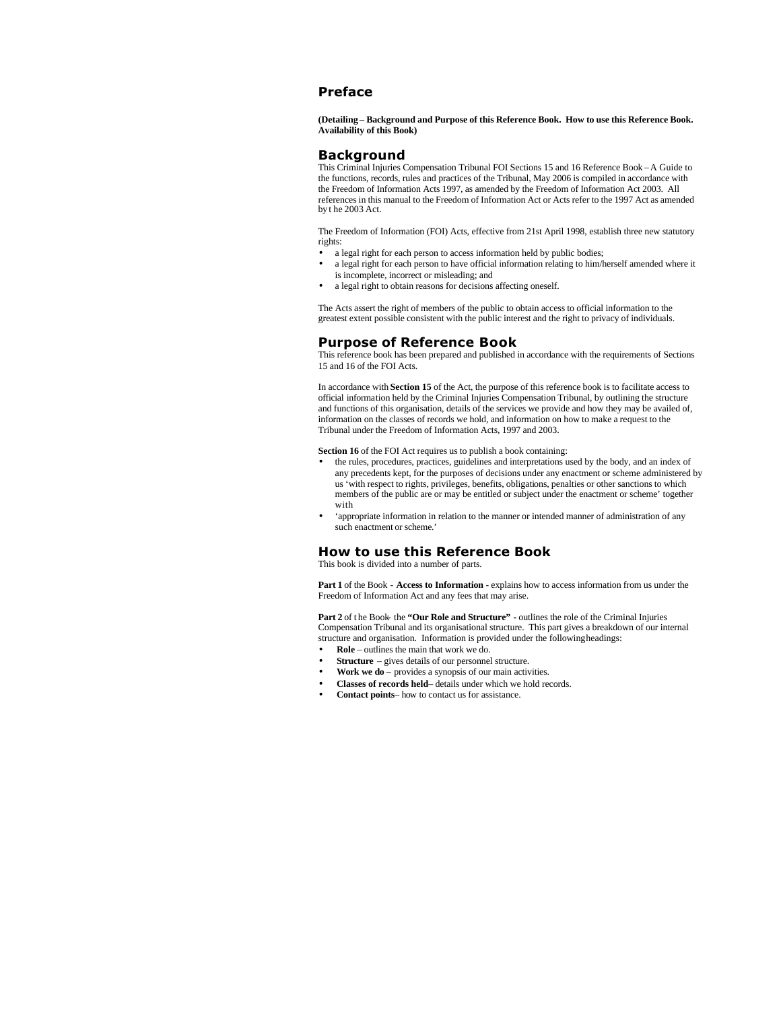# **Preface**

**(Detailing – Background and Purpose of this Reference Book. How to use this Reference Book. Availability of this Book)**

# **Background**

This Criminal Injuries Compensation Tribunal FOI Sections 15 and 16 Reference Book – A Guide to the functions, records, rules and practices of the Tribunal, May 2006 is compiled in accordance with the Freedom of Information Acts 1997, as amended by the Freedom of Information Act 2003. All references in this manual to the Freedom of Information Act or Acts refer to the 1997 Act as amended by t he 2003 Act.

The Freedom of Information (FOI) Acts, effective from 21st April 1998, establish three new statutory rights:

- a legal right for each person to access information held by public bodies;
- a legal right for each person to have official information relating to him/herself amended where it is incomplete, incorrect or misleading; and
- a legal right to obtain reasons for decisions affecting oneself.

The Acts assert the right of members of the public to obtain access to official information to the greatest extent possible consistent with the public interest and the right to privacy of individuals.

## **Purpose of Reference Book**

This reference book has been prepared and published in accordance with the requirements of Sections 15 and 16 of the FOI Acts.

In accordance with **Section 15** of the Act, the purpose of this reference book is to facilitate access to official information held by the Criminal Injuries Compensation Tribunal, by outlining the structure and functions of this organisation, details of the services we provide and how they may be availed of, information on the classes of records we hold, and information on how to make a request to the Tribunal under the Freedom of Information Acts, 1997 and 2003.

**Section 16** of the FOI Act requires us to publish a book containing:

- the rules, procedures, practices, guidelines and interpretations used by the body, and an index of any precedents kept, for the purposes of decisions under any enactment or scheme administered by us 'with respect to rights, privileges, benefits, obligations, penalties or other sanctions to which members of the public are or may be entitled or subject under the enactment or scheme' together with
- 'appropriate information in relation to the manner or intended manner of administration of any such enactment or scheme.'

# **How to use this Reference Book**

This book is divided into a number of parts.

**Part 1** of the Book - **Access to Information** - explains how to access information from us under the Freedom of Information Act and any fees that may arise.

Part 2 of the Book- the "Our Role and Structure" - outlines the role of the Criminal Injuries Compensation Tribunal and its organisational structure. This part gives a breakdown of our internal structure and organisation. Information is provided under the following headings:

- **Role**  outlines the main that work we do.
- **Structure** gives details of our personnel structure.
- **Work we do** provides a synopsis of our main activities.
- **Classes of records held** details under which we hold records.
- **Contact points** how to contact us for assistance.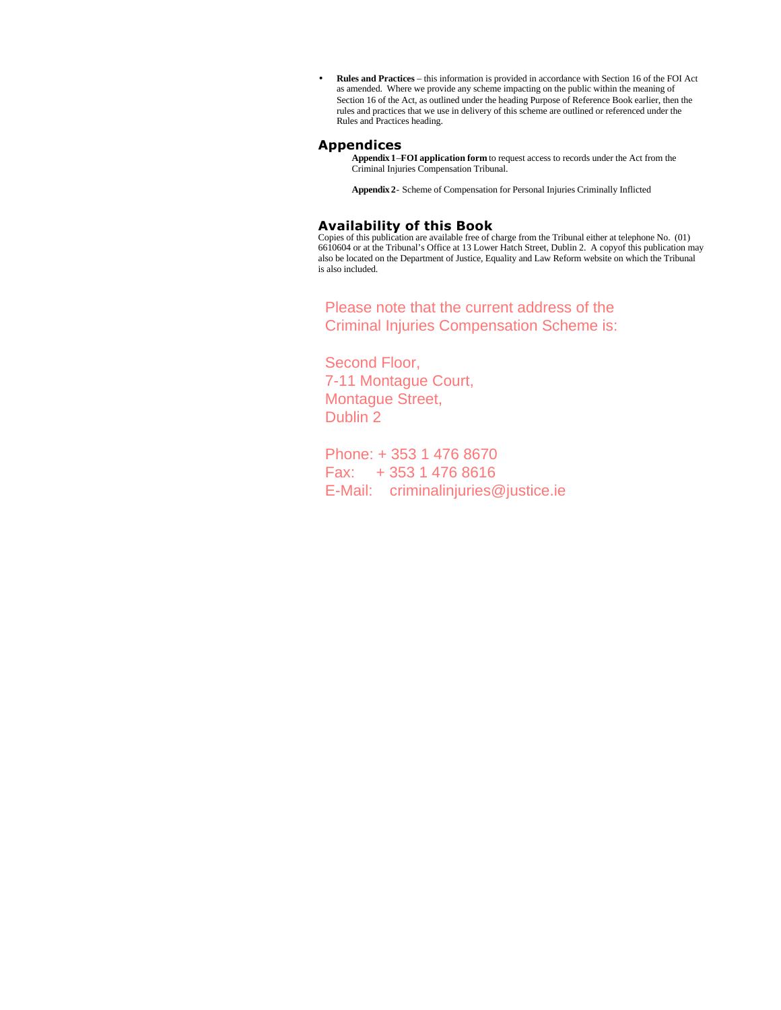• **Rules and Practices** – this information is provided in accordance with Section 16 of the FOI Act as amended. Where we provide any scheme impacting on the public within the meaning of Section 16 of the Act, as outlined under the heading Purpose of Reference Book earlier, then the rules and practices that we use in delivery of this scheme are outlined or referenced under the Rules and Practices heading.

# **Appendices**

**Appendix 1**–**FOI application form** to request access to records under the Act from the Criminal Injuries Compensation Tribunal.

**Appendix 2**- Scheme of Compensation for Personal Injuries Criminally Inflicted

# **Availability of this Book**

Copies of this publication are available free of charge from the Tribunal either at telephone No. (01) 6610604 or at the Tribunal's Office at 13 Lower Hatch Street, Dublin 2. A copyof this publication may also be located on the Department of Justice, Equality and Law Reform website on which the Tribunal is also included.

Please note that the current address of the Criminal Injuries Compensation Scheme is:

Second Floor, 7-11 Montague Court, Montague Street, Dublin 2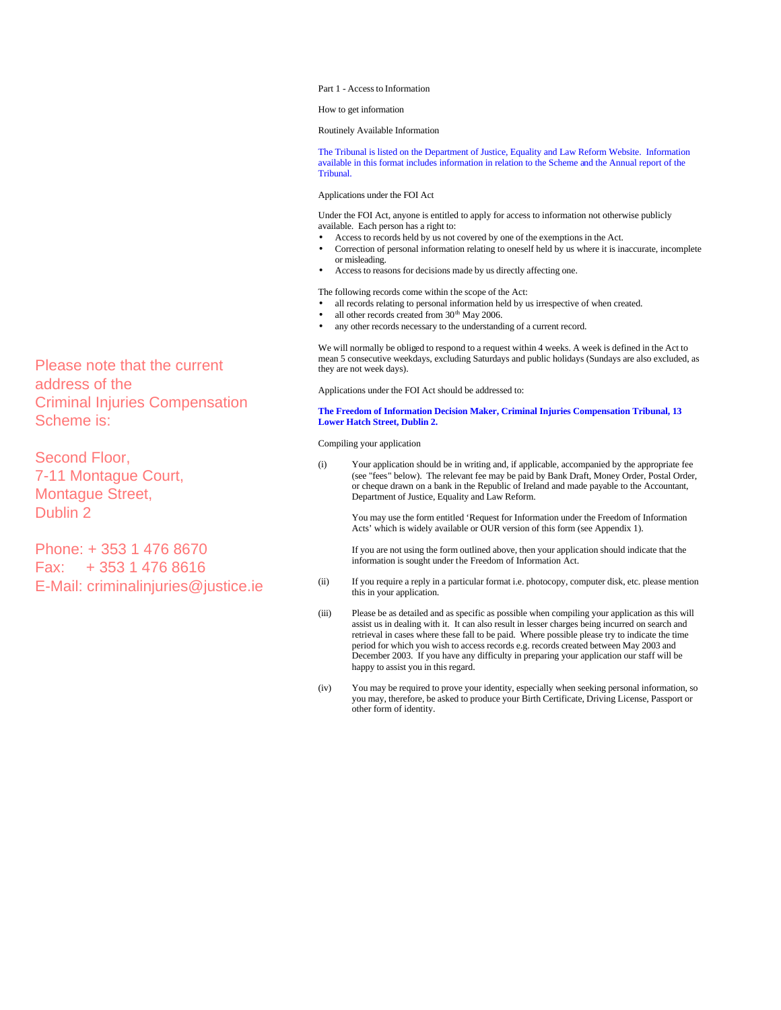Part 1 - Access to Information

How to get information

Routinely Available Information

The Tribunal is listed on the Department of Justice, Equality and Law Reform Website. Information available in this format includes information in relation to the Scheme and the Annual report of the Tribunal.

Applications under the FOI Act

Under the FOI Act, anyone is entitled to apply for access to information not otherwise publicly available. Each person has a right to:

- Access to records held by us not covered by one of the exemptions in the Act.
- Correction of personal information relating to oneself held by us where it is inaccurate, incomplete or misleading.
- Access to reasons for decisions made by us directly affecting one.

The following records come within the scope of the Act:

- all records relating to personal information held by us irrespective of when created.
- all other records created from  $30<sup>th</sup>$  May 2006.
- any other records necessary to the understanding of a current record.

We will normally be obliged to respond to a request within 4 weeks. A week is defined in the Act to mean 5 consecutive weekdays, excluding Saturdays and public holidays (Sundays are also excluded, as they are not week days).

Applications under the FOI Act should be addressed to:

**The Freedom of Information Decision Maker, Criminal Injuries Compensation Tribunal, 13 Lower Hatch Street, Dublin 2.** 

Compiling your application

(i) Your application should be in writing and, if applicable, accompanied by the appropriate fee (see "fees" below). The relevant fee may be paid by Bank Draft, Money Order, Postal Order, or cheque drawn on a bank in the Republic of Ireland and made payable to the Accountant, Department of Justice, Equality and Law Reform.

You may use the form entitled 'Request for Information under the Freedom of Information Acts' which is widely available or OUR version of this form (see Appendix 1).

If you are not using the form outlined above, then your application should indicate that the information is sought under the Freedom of Information Act.

- (ii) If you require a reply in a particular format i.e. photocopy, computer disk, etc. please mention this in your application.
- (iii) Please be as detailed and as specific as possible when compiling your application as this will assist us in dealing with it. It can also result in lesser charges being incurred on search and retrieval in cases where these fall to be paid. Where possible please try to indicate the time period for which you wish to access records e.g. records created between May 2003 and December 2003. If you have any difficulty in preparing your application our staff will be happy to assist you in this regard.
- (iv) You may be required to prove your identity, especially when seeking personal information, so you may, therefore, be asked to produce your Birth Certificate, Driving License, Passport or

Please note that the current<br>
address of the<br>
Criminal Injuries Compensation<br>
Scheme is:<br>
Second Floor,<br>
The Freedom of Information<br>
Scheme is:<br>
Second Floor,<br>
T-11 Montague Court,<br>
Montague Street,<br>
Dublin 2<br>
Phone: + 35 address of the Criminal Injuries Compensation Scheme is:

Second Floor, 7-11 Montague Court, Montague Street, Dublin 2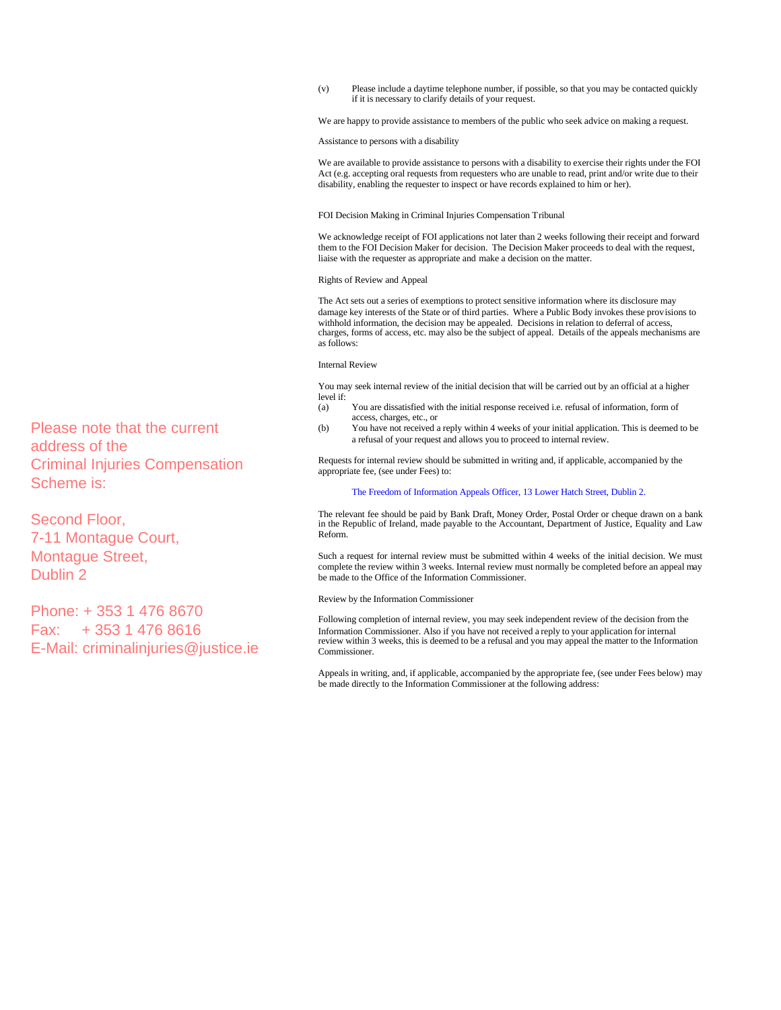(v) Please include a daytime telephone number, if possible, so that you may be contacted quickly if it is necessary to clarify details of your request.

We are happy to provide assistance to members of the public who seek advice on making a request.

Assistance to persons with a disability

We are available to provide assistance to persons with a disability to exercise their rights under the FOI Act (e.g. accepting oral requests from requesters who are unable to read, print and/or write due to their disability, enabling the requester to inspect or have records explained to him or her).

### FOI Decision Making in Criminal Injuries Compensation Tribunal

We acknowledge receipt of FOI applications not later than 2 weeks following their receipt and forward them to the FOI Decision Maker for decision. The Decision Maker proceeds to deal with the request, liaise with the requester as appropriate and make a decision on the matter.

#### Rights of Review and Appeal

The Act sets out a series of exemptions to protect sensitive information where its disclosure may damage key interests of the State or of third parties. Where a Public Body invokes these provisions to withhold information, the decision may be appealed. Decisions in relation to deferral of access, charges, forms of access, etc. may also be the subject of appeal. Details of the appeals mechanisms are as follows:

### Internal Review

You may seek internal review of the initial decision that will be carried out by an official at a higher level if:<br> $(a)$ 

- You are dissatisfied with the initial response received i.e. refusal of information, form of access, charges, etc., or
- (b) You have not received a reply within 4 weeks of your initial application. This is deemed to be a refusal of your request and allows you to proceed to internal review.

Requests for internal review should be submitted in writing and, if applicable, accompanied by the appropriate fee, (see under Fees) to:

## The Freedom of Information Appeals Officer, 13 Lower Hatch Street, Dublin 2.

The relevant fee should be paid by Bank Draft, Money Order, Postal Order or cheque drawn on a bank in the Republic of Ireland, made payable to the Accountant, Department of Justice, Equality and Law Reform.

Such a request for internal review must be submitted within 4 weeks of the initial decision. We must complete the review within 3 weeks. Internal review must normally be completed before an appeal may be made to the Office of the Information Commissioner.

#### Review by the Information Commissioner

Following completion of internal review, you may seek independent review of the decision from the Information Commissioner. Also if you have not received a reply to your application for internal review within 3 weeks, this is deemed to be a refusal and you may appeal the matter to the Information **Commissioner** 

Appeals in writing, and, if applicable, accompanied by the appropriate fee, (see under Fees below) may be made directly to the Information Commissioner at the following address:

Please note that the current address of the Criminal Injuries Compensation Scheme is:

Second Floor, 7-11 Montague Court, Montague Street, Dublin 2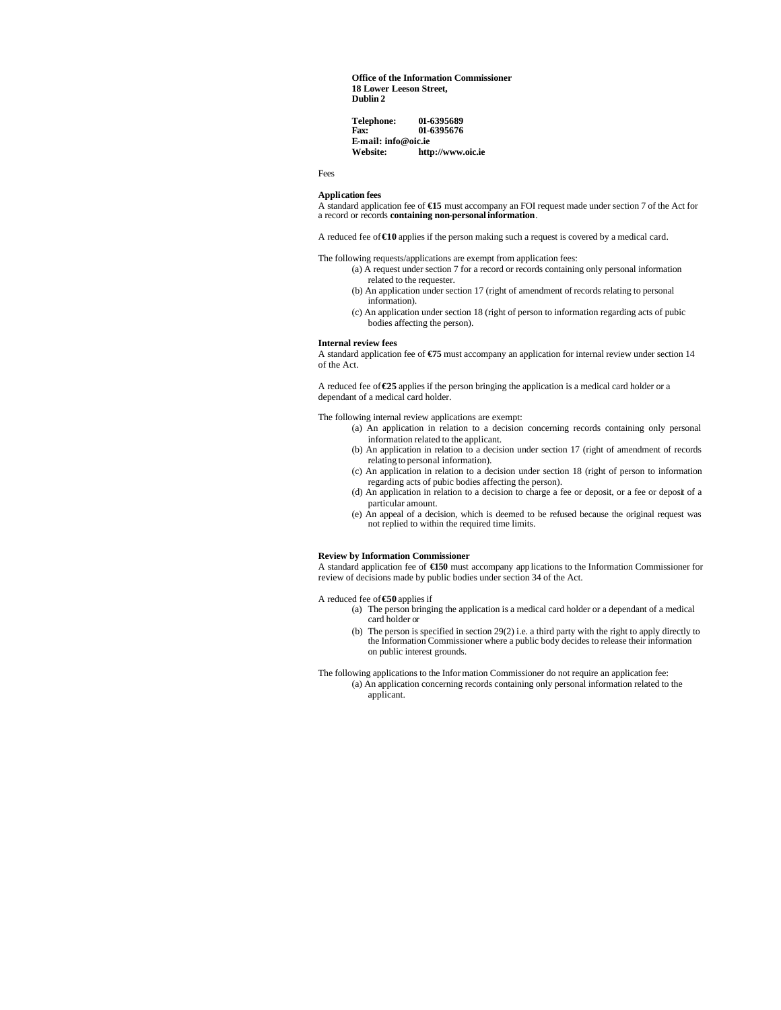**Office of the Information Commissioner 18 Lower Leeson Street, Dublin 2** 

**Telephone:** 01-6395689<br>Fax: 01-6395676 **Fax: 01-6395676 E-mail: info@oic.ie Website: http://www.oic.ie**

Fees

## **Application fees**

A standard application fee of **€15** must accompany an FOI request made under section 7 of the Act for a record or records **containing non-personal information**.

A reduced fee of **€10** applies if the person making such a request is covered by a medical card.

The following requests/applications are exempt from application fees:

- (a) A request under section 7 for a record or records containing only personal information related to the requester.
- (b) An application under section 17 (right of amendment of records relating to personal information).
- (c) An application under section 18 (right of person to information regarding acts of pubic bodies affecting the person).

#### **Internal review fees**

A standard application fee of **€75** must accompany an application for internal review under section 14 of the Act.

A reduced fee of **€25** applies if the person bringing the application is a medical card holder or a dependant of a medical card holder.

The following internal review applications are exempt:

- (a) An application in relation to a decision concerning records containing only personal information related to the applicant.
- (b) An application in relation to a decision under section 17 (right of amendment of records relating to personal information).
- (c) An application in relation to a decision under section 18 (right of person to information regarding acts of pubic bodies affecting the person).
- (d) An application in relation to a decision to charge a fee or deposit, or a fee or deposit of a particular amount.
- (e) An appeal of a decision, which is deemed to be refused because the original request was not replied to within the required time limits.

#### **Review by Information Commissioner**

A standard application fee of **€150** must accompany app lications to the Information Commissioner for review of decisions made by public bodies under section 34 of the Act.

A reduced fee of **€50** applies if

- (a) The person bringing the application is a medical card holder or a dependant of a medical card holder or
- (b) The person is specified in section 29(2) i.e. a third party with the right to apply directly to the Information Commissioner where a public body decides to release their information on public interest grounds.
- The following applications to the Information Commissioner do not require an application fee: (a) An application concerning records containing only personal information related to the applicant.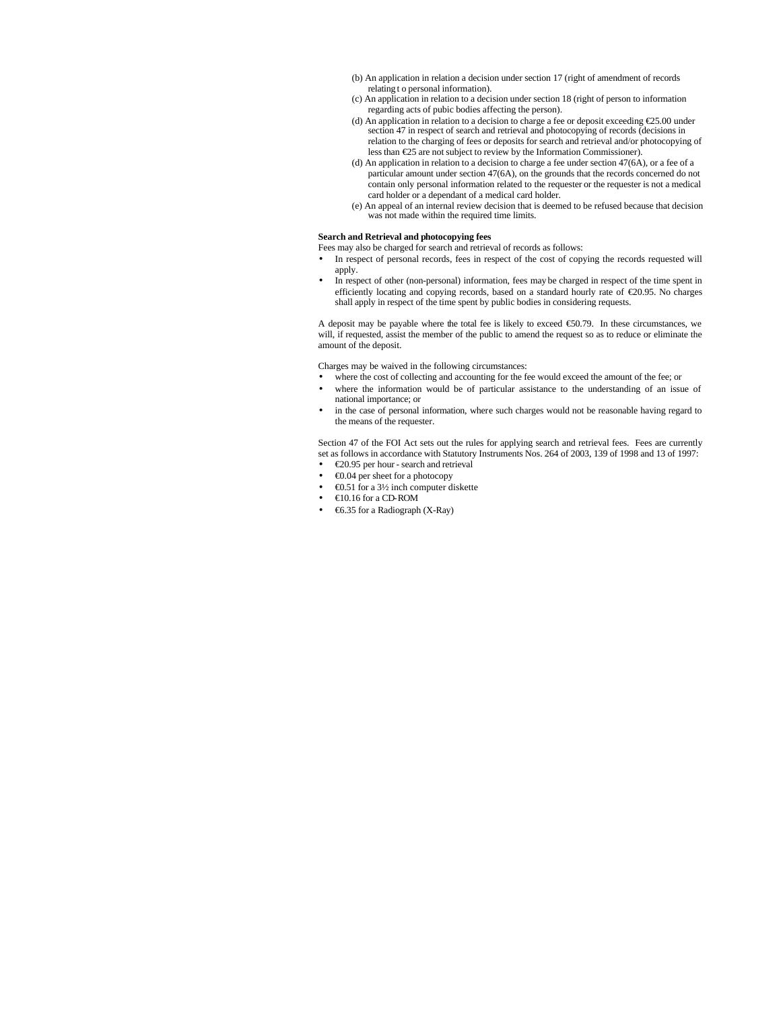- (b) An application in relation a decision under section 17 (right of amendment of records relating t o personal information).
- (c) An application in relation to a decision under section 18 (right of person to information regarding acts of pubic bodies affecting the person).
- (d) An application in relation to a decision to charge a fee or deposit exceeding €25.00 under section 47 in respect of search and retrieval and photocopying of records (decisions in relation to the charging of fees or deposits for search and retrieval and/or photocopying of less than €25 are not subject to review by the Information Commissioner).
- (d) An application in relation to a decision to charge a fee under section 47(6A), or a fee of a particular amount under section 47(6A), on the grounds that the records concerned do not contain only personal information related to the requester or the requester is not a medical card holder or a dependant of a medical card holder.
- (e) An appeal of an internal review decision that is deemed to be refused because that decision was not made within the required time limits.

## **Search and Retrieval and photocopying fees**

- Fees may also be charged for search and retrieval of records as follows:
- In respect of personal records, fees in respect of the cost of copying the records requested will apply.
- In respect of other (non-personal) information, fees may be charged in respect of the time spent in efficiently locating and copying records, based on a standard hourly rate of €20.95. No charges shall apply in respect of the time spent by public bodies in considering requests.

A deposit may be payable where the total fee is likely to exceed €50.79. In these circumstances, we will, if requested, assist the member of the public to amend the request so as to reduce or eliminate the amount of the deposit.

Charges may be waived in the following circumstances:

- where the cost of collecting and accounting for the fee would exceed the amount of the fee; or
- where the information would be of particular assistance to the understanding of an issue of national importance; or
- in the case of personal information, where such charges would not be reasonable having regard to the means of the requester.

Section 47 of the FOI Act sets out the rules for applying search and retrieval fees. Fees are currently set as follows in accordance with Statutory Instruments Nos. 264 of 2003, 139 of 1998 and 13 of 1997:

- €20.95 per hour search and retrieval
- €0.04 per sheet for a photocopy
- €0.51 for a 3½ inch computer diskette
- $\bigoplus 0.16$  for a CD-ROM
- €6.35 for a Radiograph (X-Ray)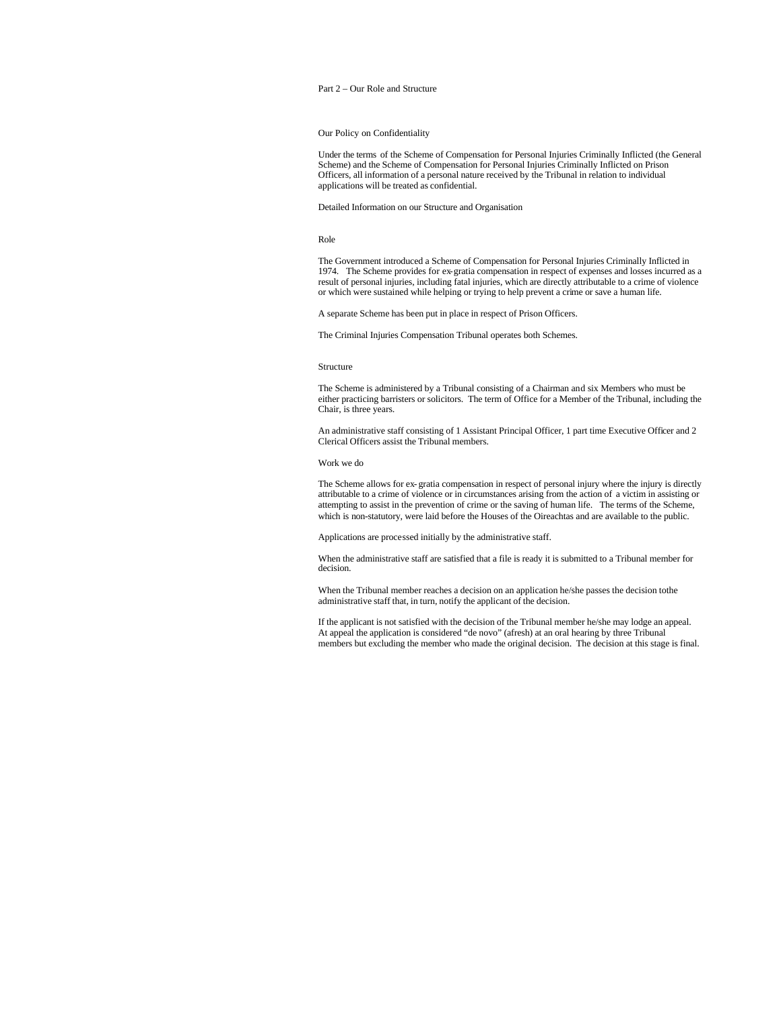## Part 2 – Our Role and Structure

#### Our Policy on Confidentiality

Under the terms of the Scheme of Compensation for Personal Injuries Criminally Inflicted (the General Scheme) and the Scheme of Compensation for Personal Injuries Criminally Inflicted on Prison Officers, all information of a personal nature received by the Tribunal in relation to individual applications will be treated as confidential.

#### Detailed Information on our Structure and Organisation

#### Role

The Government introduced a Scheme of Compensation for Personal Injuries Criminally Inflicted in 1974. The Scheme provides for ex-gratia compensation in respect of expenses and losses incurred as a result of personal injuries, including fatal injuries, which are directly attributable to a crime of violence or which were sustained while helping or trying to help prevent a crime or save a human life.

A separate Scheme has been put in place in respect of Prison Officers.

The Criminal Injuries Compensation Tribunal operates both Schemes.

#### Structure

The Scheme is administered by a Tribunal consisting of a Chairman and six Members who must be either practicing barristers or solicitors. The term of Office for a Member of the Tribunal, including the Chair, is three years.

An administrative staff consisting of 1 Assistant Principal Officer, 1 part time Executive Officer and 2 Clerical Officers assist the Tribunal members.

#### Work we do

The Scheme allows for ex- gratia compensation in respect of personal injury where the injury is directly attributable to a crime of violence or in circumstances arising from the action of a victim in assisting or attempting to assist in the prevention of crime or the saving of human life. The terms of the Scheme, which is non-statutory, were laid before the Houses of the Oireachtas and are available to the public.

Applications are processed initially by the administrative staff.

When the administrative staff are satisfied that a file is ready it is submitted to a Tribunal member for decision.

When the Tribunal member reaches a decision on an application he/she passes the decision to the administrative staff that, in turn, notify the applicant of the decision.

If the applicant is not satisfied with the decision of the Tribunal member he/she may lodge an appeal. At appeal the application is considered "de novo" (afresh) at an oral hearing by three Tribunal members but excluding the member who made the original decision. The decision at this stage is final.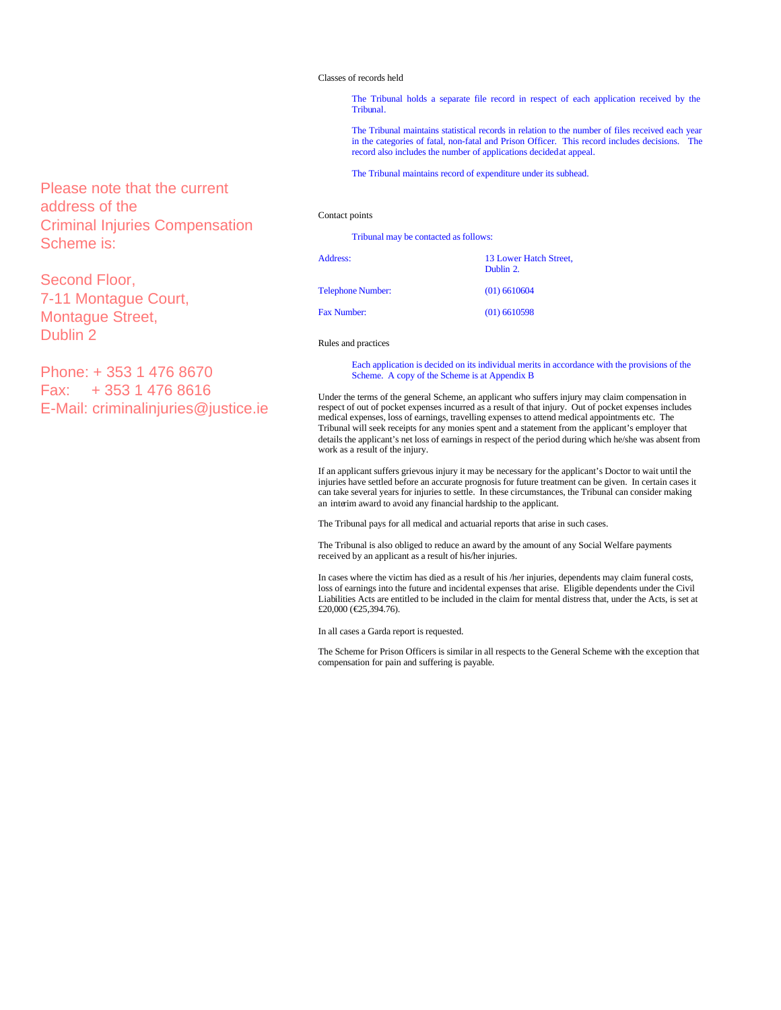### Classes of records held

The Tribunal holds a separate file record in respect of each application received by the Tribunal.

The Tribunal maintains statistical records in relation to the number of files received each year in the categories of fatal, non-fatal and Prison Officer. This record includes decisions. The record also includes the number of applications decided at appeal.

The Tribunal maintains record of expenditure under its subhead.

## Contact points

| Tribunal may be contacted as follows: |                                     |
|---------------------------------------|-------------------------------------|
| Address:                              | 13 Lower Hatch Street,<br>Dublin 2. |
| <b>Telephone Number:</b>              | $(01)$ 6610604                      |
| <b>Fax Number:</b>                    | $(01)$ 6610598                      |

Rules and practices

Each application is decided on its individual merits in accordance with the provisions of the Scheme. A copy of the Scheme is at Appendix B

Under the terms of the general Scheme, an applicant who suffers injury may claim compensation in respect of out of pocket expenses incurred as a result of that injury. Out of pocket expenses includes medical expenses, loss of earnings, travelling expenses to attend medical appointments etc. The Tribunal will seek receipts for any monies spent and a statement from the applicant's employer that details the applicant's net loss of earnings in respect of the period during which he/she was absent from work as a result of the injury.

If an applicant suffers grievous injury it may be necessary for the applicant's Doctor to wait until the injuries have settled before an accurate prognosis for future treatment can be given. In certain cases it can take several years for injuries to settle. In these circumstances, the Tribunal can consider making an interim award to avoid any financial hardship to the applicant.

The Tribunal pays for all medical and actuarial reports that arise in such cases.

The Tribunal is also obliged to reduce an award by the amount of any Social Welfare payments received by an applicant as a result of his/her injuries.

In cases where the victim has died as a result of his /her injuries, dependents may claim funeral costs, loss of earnings into the future and incidental expenses that arise. Eligible dependents under the Civil Liabilities Acts are entitled to be included in the claim for mental distress that, under the Acts, is set at £20,000 (€25,394.76).

In all cases a Garda report is requested.

The Scheme for Prison Officers is similar in all respects to the General Scheme with the exception that compensation for pain and suffering is payable.

Please note that the current address of the Criminal Injuries Compensation Scheme is:

Second Floor, 7-11 Montague Court, Montague Street, Dublin 2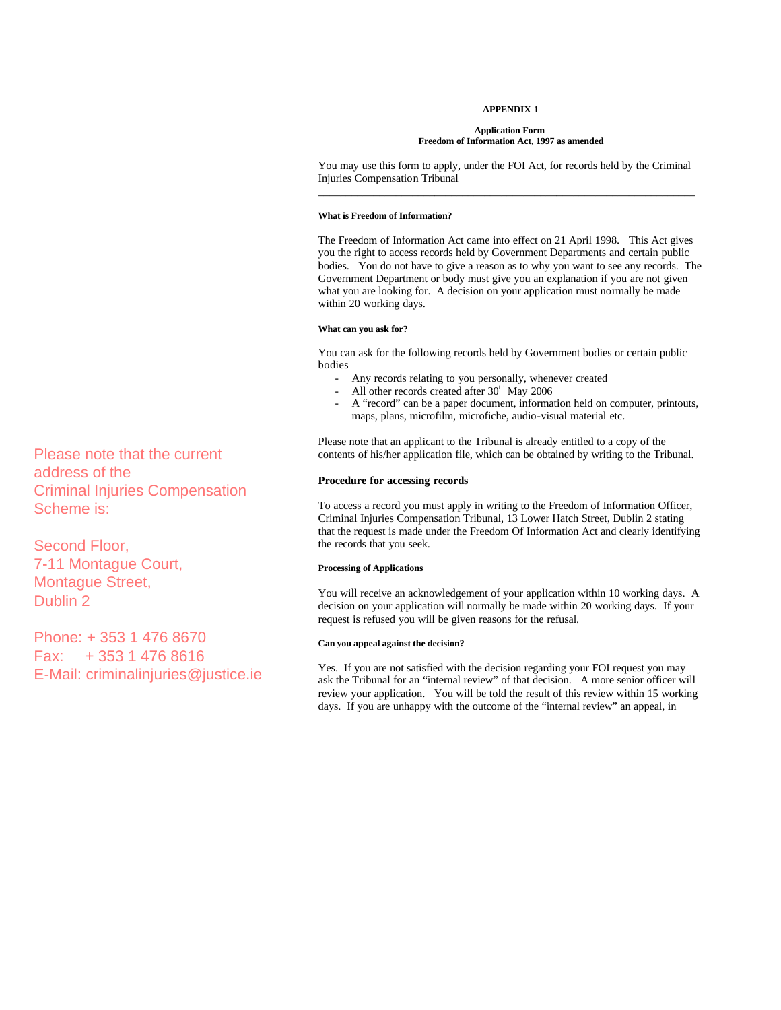## **APPENDIX 1**

#### **Application Form Freedom of Information Act, 1997 as amended**

You may use this form to apply, under the FOI Act, for records held by the Criminal Injuries Compensation Tribunal \_\_\_\_\_\_\_\_\_\_\_\_\_\_\_\_\_\_\_\_\_\_\_\_\_\_\_\_\_\_\_\_\_\_\_\_\_\_\_\_\_\_\_\_\_\_\_\_\_\_\_\_\_\_\_\_\_\_\_\_\_\_\_\_\_\_\_\_

## **What is Freedom of Information?**

The Freedom of Information Act came into effect on 21 April 1998. This Act gives you the right to access records held by Government Departments and certain public bodies. You do not have to give a reason as to why you want to see any records. The Government Department or body must give you an explanation if you are not given what you are looking for. A decision on your application must normally be made within 20 working days.

## **What can you ask for?**

You can ask for the following records held by Government bodies or certain public bodies

- Any records relating to you personally, whenever created
- All other records created after  $30<sup>th</sup>$  May 2006
- A "record" can be a paper document, information held on computer, printouts, maps, plans, microfilm, microfiche, audio-visual material etc.

Please note that an applicant to the Tribunal is already entitled to a copy of the contents of his/her application file, which can be obtained by writing to the Tribunal.

### **Procedure for accessing records**

To access a record you must apply in writing to the Freedom of Information Officer, Criminal Injuries Compensation Tribunal, 13 Lower Hatch Street, Dublin 2 stating that the request is made under the Freedom Of Information Act and clearly identifying the records that you seek.

## **Processing of Applications**

You will receive an acknowledgement of your application within 10 working days. A decision on your application will normally be made within 20 working days. If your request is refused you will be given reasons for the refusal.

## **Can you appeal against the decision?**

Yes. If you are not satisfied with the decision regarding your FOI request you may ask the Tribunal for an "internal review" of that decision. A more senior officer will review your application. You will be told the result of this review within 15 working days. If you are unhappy with the outcome of the "internal review" an appeal, in Please note that the current<br>
address of the<br>
Criminal Injuries Compensation<br>
Concedure for accessing records<br>
Criminal Injuries Compensation<br>
To access a record you must apply in writing to the Freedom of Information Off

address of the Criminal Injuries Compensation Scheme is:

Second Floor, 7-11 Montague Court, Montague Street, Dublin 2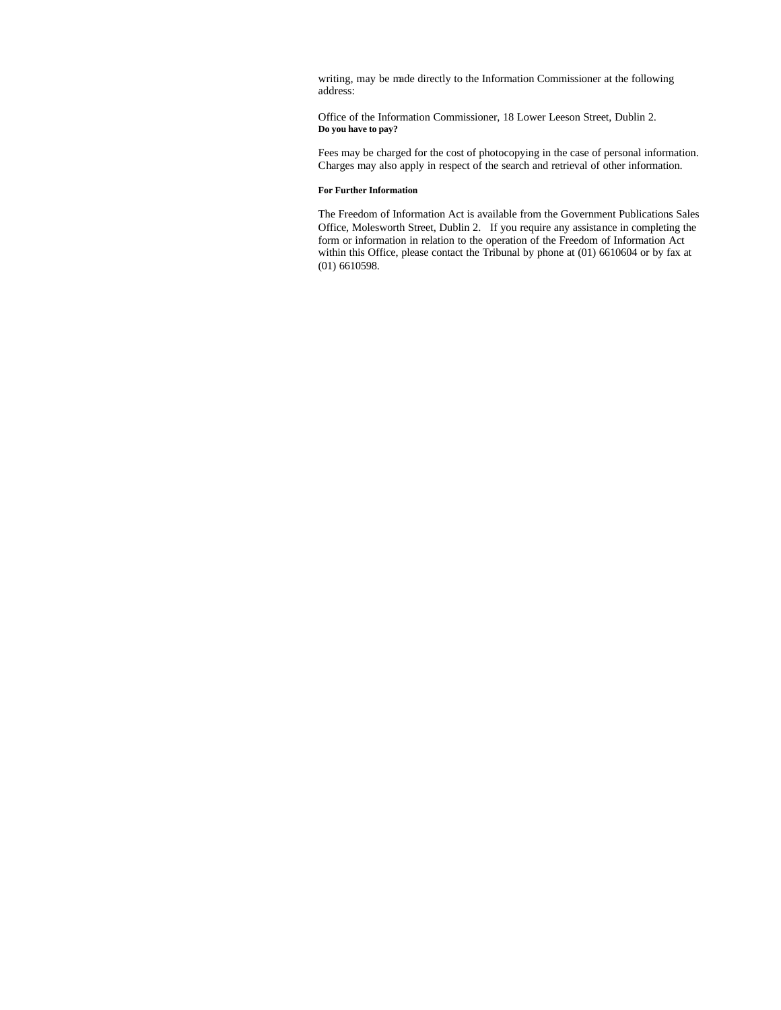writing, may be made directly to the Information Commissioner at the following address:

Office of the Information Commissioner, 18 Lower Leeson Street, Dublin 2. **Do you have to pay?**

Fees may be charged for the cost of photocopying in the case of personal information. Charges may also apply in respect of the search and retrieval of other information.

# **For Further Information**

The Freedom of Information Act is available from the Government Publications Sales Office, Molesworth Street, Dublin 2. If you require any assistance in completing the form or information in relation to the operation of the Freedom of Information Act within this Office, please contact the Tribunal by phone at (01) 6610604 or by fax at (01) 6610598.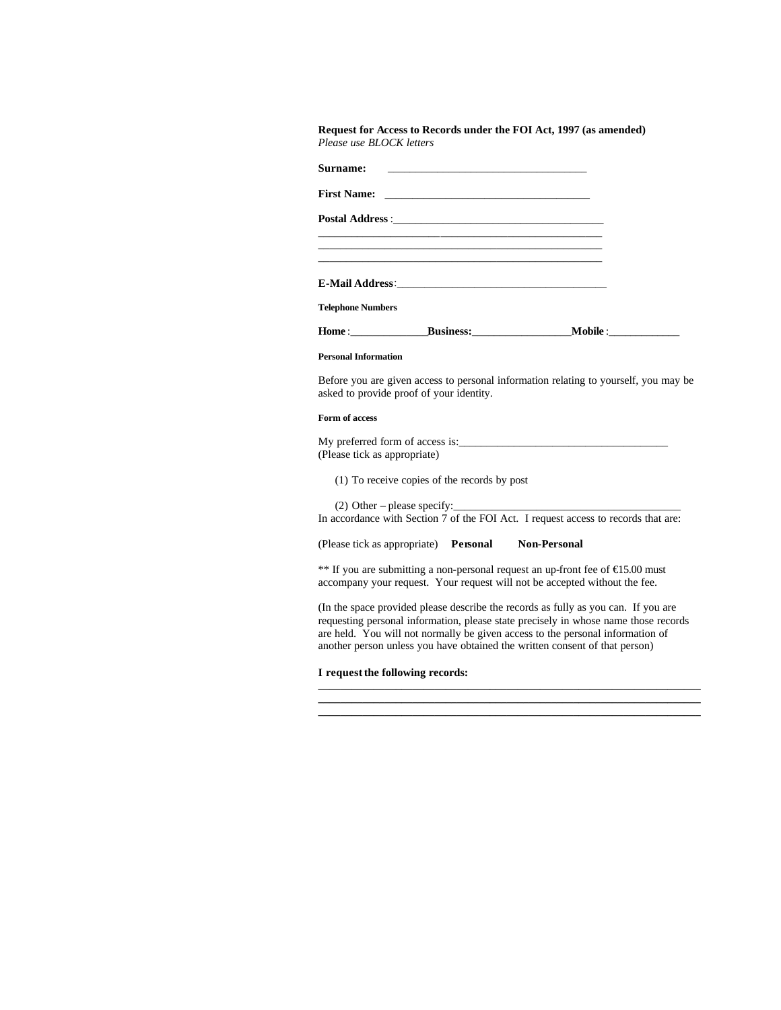| Surname:                                       | <u> 1980 - Johann Barbara, martin amerikan basal dan berasal dalam basal dalam basal dalam basal dalam basal dala</u> |                                                                                      |
|------------------------------------------------|-----------------------------------------------------------------------------------------------------------------------|--------------------------------------------------------------------------------------|
|                                                |                                                                                                                       |                                                                                      |
|                                                |                                                                                                                       |                                                                                      |
| <b>Telephone Numbers</b>                       | <u> 1989 - Johann Stoff, amerikansk politiker (d. 1989)</u>                                                           |                                                                                      |
|                                                |                                                                                                                       |                                                                                      |
| <b>Personal Information</b>                    |                                                                                                                       |                                                                                      |
|                                                |                                                                                                                       |                                                                                      |
|                                                | asked to provide proof of your identity.                                                                              |                                                                                      |
|                                                |                                                                                                                       |                                                                                      |
|                                                |                                                                                                                       |                                                                                      |
| Form of access<br>(Please tick as appropriate) | (1) To receive copies of the records by post                                                                          | Before you are given access to personal information relating to yourself, you may be |
|                                                | $(2)$ Other – please specify:                                                                                         | In accordance with Section 7 of the FOI Act. I request access to records that are:   |

(In the space provided please describe the records as fully as you can. If you are requesting personal information, please state precisely in whose name those records are held. You will not normally be given access to the personal information of another person unless you have obtained the written consent of that person)

**\_\_\_\_\_\_\_\_\_\_\_\_\_\_\_\_\_\_\_\_\_\_\_\_\_\_\_\_\_\_\_\_\_\_\_\_\_\_\_\_\_\_\_\_\_\_\_\_\_\_\_\_\_\_\_\_\_\_\_\_\_\_\_\_\_\_\_\_\_ \_\_\_\_\_\_\_\_\_\_\_\_\_\_\_\_\_\_\_\_\_\_\_\_\_\_\_\_\_\_\_\_\_\_\_\_\_\_\_\_\_\_\_\_\_\_\_\_\_\_\_\_\_\_\_\_\_\_\_\_\_\_\_\_\_\_\_\_\_ \_\_\_\_\_\_\_\_\_\_\_\_\_\_\_\_\_\_\_\_\_\_\_\_\_\_\_\_\_\_\_\_\_\_\_\_\_\_\_\_\_\_\_\_\_\_\_\_\_\_\_\_\_\_\_\_\_\_\_\_\_\_\_\_\_\_\_\_\_**

# **I request the following records:**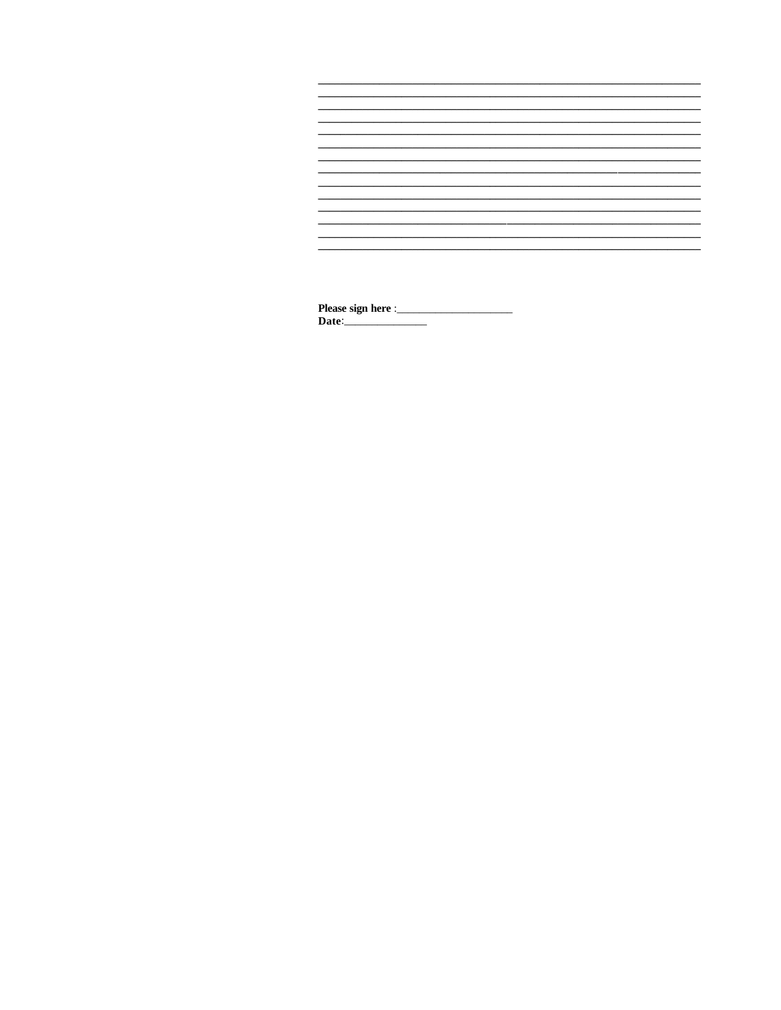

 $\overline{\phantom{a}}$ Date:  $\overline{\phantom{0}}$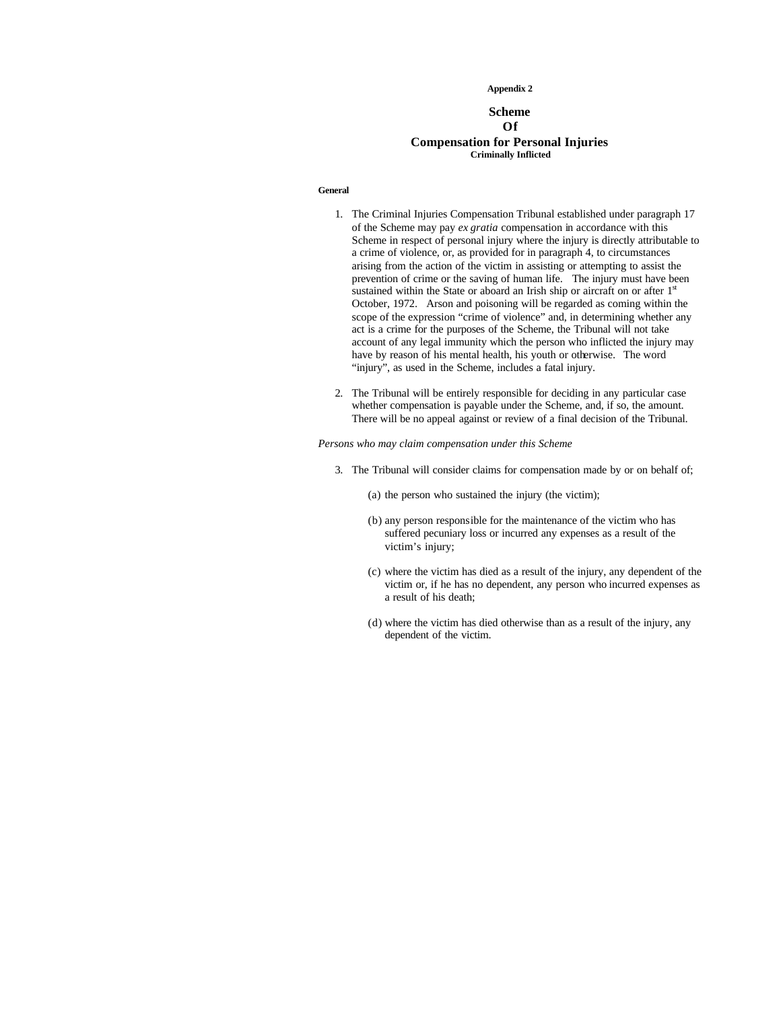### **Appendix 2**

# **Scheme Of Compensation for Personal Injuries Criminally Inflicted**

### **General**

- 1. The Criminal Injuries Compensation Tribunal established under paragraph 17 of the Scheme may pay *ex gratia* compensation in accordance with this Scheme in respect of personal injury where the injury is directly attributable to a crime of violence, or, as provided for in paragraph 4, to circumstances arising from the action of the victim in assisting or attempting to assist the prevention of crime or the saving of human life. The injury must have been sustained within the State or aboard an Irish ship or aircraft on or after  $1<sup>st</sup>$ October, 1972. Arson and poisoning will be regarded as coming within the scope of the expression "crime of violence" and, in determining whether any act is a crime for the purposes of the Scheme, the Tribunal will not take account of any legal immunity which the person who inflicted the injury may have by reason of his mental health, his youth or otherwise. The word "injury", as used in the Scheme, includes a fatal injury.
- 2. The Tribunal will be entirely responsible for deciding in any particular case whether compensation is payable under the Scheme, and, if so, the amount. There will be no appeal against or review of a final decision of the Tribunal.

*Persons who may claim compensation under this Scheme*

- 3. The Tribunal will consider claims for compensation made by or on behalf of;
	- (a) the person who sustained the injury (the victim);
	- (b) any person responsible for the maintenance of the victim who has suffered pecuniary loss or incurred any expenses as a result of the victim's injury;
	- (c) where the victim has died as a result of the injury, any dependent of the victim or, if he has no dependent, any person who incurred expenses as a result of his death;
	- (d) where the victim has died otherwise than as a result of the injury, any dependent of the victim.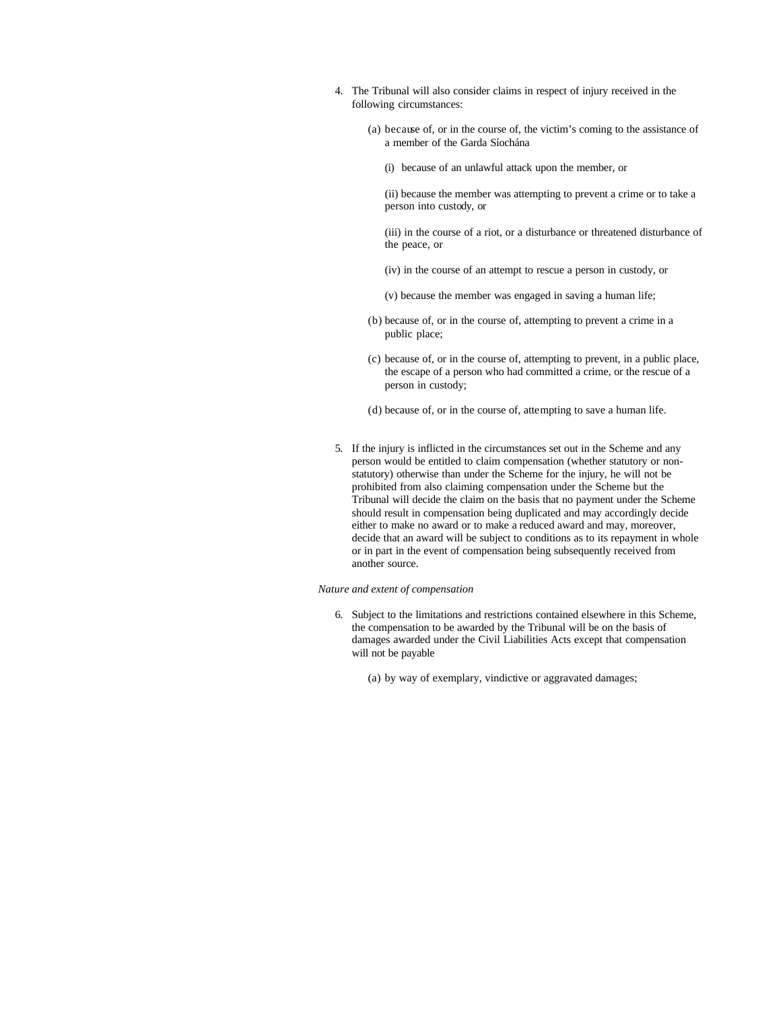- 4. The Tribunal will also consider claims in respect of injury received in the following circumstances:
	- (a) because of, or in the course of, the victim's coming to the assistance of a member of the Garda Síochána
		- (i) because of an unlawful attack upon the member, or
		- (ii) because the member was attempting to prevent a crime or to take a person into custody, or
		- (iii) in the course of a riot, or a disturbance or threatened disturbance of the peace, or
		- (iv) in the course of an attempt to rescue a person in custody, or
		- (v) because the member was engaged in saving a human life;
	- (b) because of, or in the course of, attempting to prevent a crime in a public place;
	- (c) because of, or in the course of, attempting to prevent, in a public place, the escape of a person who had committed a crime, or the rescue of a person in custody;
	- (d) because of, or in the course of, attempting to save a human life.
- 5. If the injury is inflicted in the circumstances set out in the Scheme and any person would be entitled to claim compensation (whether statutory or nonstatutory) otherwise than under the Scheme for the injury, he will not be prohibited from also claiming compensation under the Scheme but the Tribunal will decide the claim on the basis that no payment under the Scheme should result in compensation being duplicated and may accordingly decide either to make no award or to make a reduced award and may, moreover, decide that an award will be subject to conditions as to its repayment in whole or in part in the event of compensation being subsequently received from another source.

## *Nature and extent of compensation*

- 6. Subject to the limitations and restrictions contained elsewhere in this Scheme, the compensation to be awarded by the Tribunal will be on the basis of damages awarded under the Civil Liabilities Acts except that compensation will not be payable
	- (a) by way of exemplary, vindictive or aggravated damages;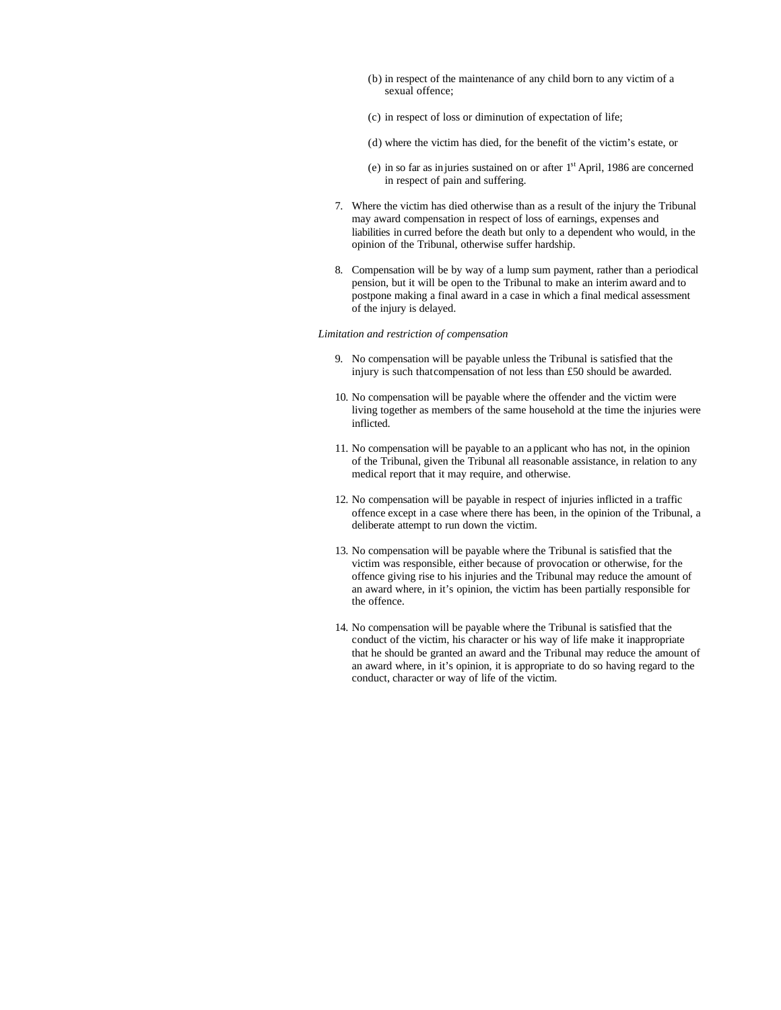- (b) in respect of the maintenance of any child born to any victim of a sexual offence;
- (c) in respect of loss or diminution of expectation of life;
- (d) where the victim has died, for the benefit of the victim's estate, or
- (e) in so far as injuries sustained on or after 1st April, 1986 are concerned in respect of pain and suffering.
- 7. Where the victim has died otherwise than as a result of the injury the Tribunal may award compensation in respect of loss of earnings, expenses and liabilities in curred before the death but only to a dependent who would, in the opinion of the Tribunal, otherwise suffer hardship.
- 8. Compensation will be by way of a lump sum payment, rather than a periodical pension, but it will be open to the Tribunal to make an interim award and to postpone making a final award in a case in which a final medical assessment of the injury is delayed.

### *Limitation and restriction of compensation*

- 9. No compensation will be payable unless the Tribunal is satisfied that the injury is such that compensation of not less than £50 should be awarded.
- 10. No compensation will be payable where the offender and the victim were living together as members of the same household at the time the injuries were inflicted.
- 11. No compensation will be payable to an a pplicant who has not, in the opinion of the Tribunal, given the Tribunal all reasonable assistance, in relation to any medical report that it may require, and otherwise.
- 12. No compensation will be payable in respect of injuries inflicted in a traffic offence except in a case where there has been, in the opinion of the Tribunal, a deliberate attempt to run down the victim.
- 13. No compensation will be payable where the Tribunal is satisfied that the victim was responsible, either because of provocation or otherwise, for the offence giving rise to his injuries and the Tribunal may reduce the amount of an award where, in it's opinion, the victim has been partially responsible for the offence.
- 14. No compensation will be payable where the Tribunal is satisfied that the conduct of the victim, his character or his way of life make it inappropriate that he should be granted an award and the Tribunal may reduce the amount of an award where, in it's opinion, it is appropriate to do so having regard to the conduct, character or way of life of the victim.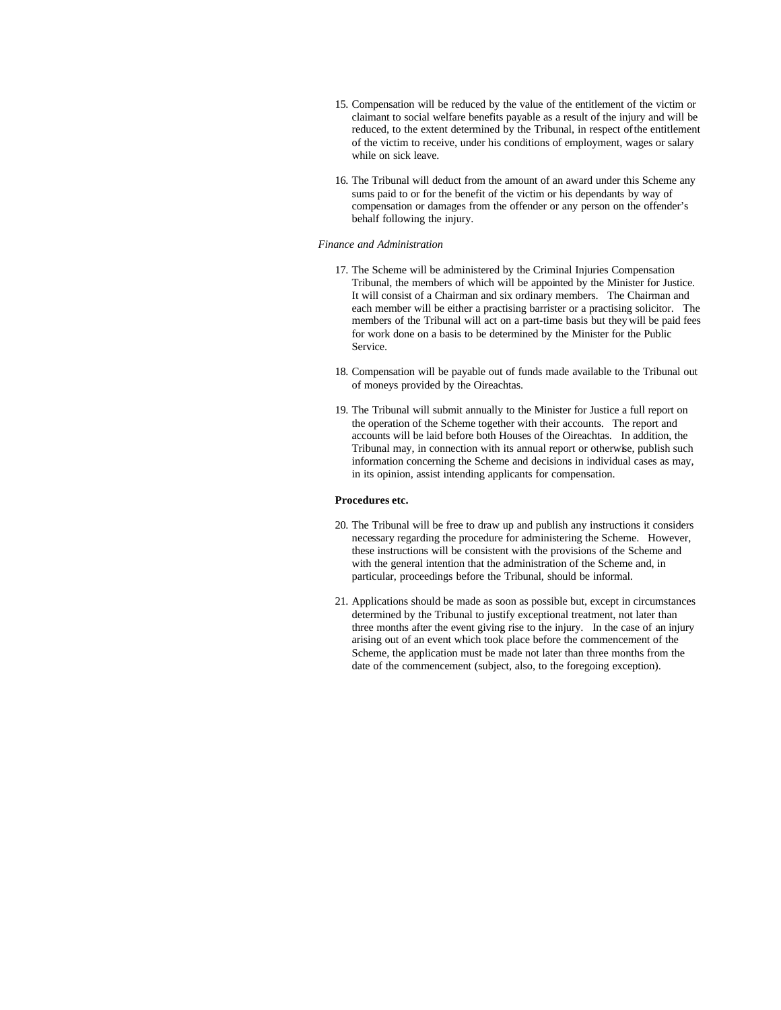- 15. Compensation will be reduced by the value of the entitlement of the victim or claimant to social welfare benefits payable as a result of the injury and will be reduced, to the extent determined by the Tribunal, in respect of the entitlement of the victim to receive, under his conditions of employment, wages or salary while on sick leave.
- 16. The Tribunal will deduct from the amount of an award under this Scheme any sums paid to or for the benefit of the victim or his dependants by way of compensation or damages from the offender or any person on the offender's behalf following the injury.

## *Finance and Administration*

- 17. The Scheme will be administered by the Criminal Injuries Compensation Tribunal, the members of which will be appointed by the Minister for Justice. It will consist of a Chairman and six ordinary members. The Chairman and each member will be either a practising barrister or a practising solicitor. The members of the Tribunal will act on a part-time basis but they will be paid fees for work done on a basis to be determined by the Minister for the Public Service.
- 18. Compensation will be payable out of funds made available to the Tribunal out of moneys provided by the Oireachtas.
- 19. The Tribunal will submit annually to the Minister for Justice a full report on the operation of the Scheme together with their accounts. The report and accounts will be laid before both Houses of the Oireachtas. In addition, the Tribunal may, in connection with its annual report or otherwise, publish such information concerning the Scheme and decisions in individual cases as may, in its opinion, assist intending applicants for compensation.

## **Procedures etc.**

- 20. The Tribunal will be free to draw up and publish any instructions it considers necessary regarding the procedure for administering the Scheme. However, these instructions will be consistent with the provisions of the Scheme and with the general intention that the administration of the Scheme and, in particular, proceedings before the Tribunal, should be informal.
- 21. Applications should be made as soon as possible but, except in circumstances determined by the Tribunal to justify exceptional treatment, not later than three months after the event giving rise to the injury. In the case of an injury arising out of an event which took place before the commencement of the Scheme, the application must be made not later than three months from the date of the commencement (subject, also, to the foregoing exception).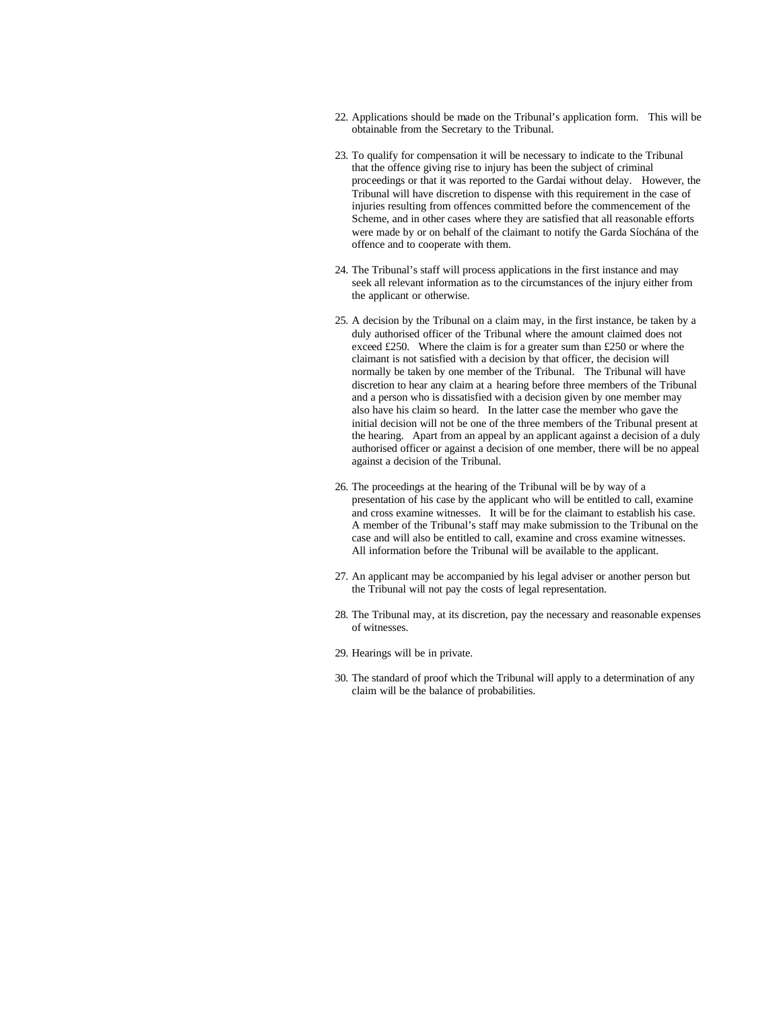- 22. Applications should be made on the Tribunal's application form. This will be obtainable from the Secretary to the Tribunal.
- 23. To qualify for compensation it will be necessary to indicate to the Tribunal that the offence giving rise to injury has been the subject of criminal proceedings or that it was reported to the Gardai without delay. However, the Tribunal will have discretion to dispense with this requirement in the case of injuries resulting from offences committed before the commencement of the Scheme, and in other cases where they are satisfied that all reasonable efforts were made by or on behalf of the claimant to notify the Garda Síochána of the offence and to cooperate with them.
- 24. The Tribunal's staff will process applications in the first instance and may seek all relevant information as to the circumstances of the injury either from the applicant or otherwise.
- 25. A decision by the Tribunal on a claim may, in the first instance, be taken by a duly authorised officer of the Tribunal where the amount claimed does not exceed £250. Where the claim is for a greater sum than £250 or where the claimant is not satisfied with a decision by that officer, the decision will normally be taken by one member of the Tribunal. The Tribunal will have discretion to hear any claim at a hearing before three members of the Tribunal and a person who is dissatisfied with a decision given by one member may also have his claim so heard. In the latter case the member who gave the initial decision will not be one of the three members of the Tribunal present at the hearing. Apart from an appeal by an applicant against a decision of a duly authorised officer or against a decision of one member, there will be no appeal against a decision of the Tribunal.
- 26. The proceedings at the hearing of the Tribunal will be by way of a presentation of his case by the applicant who will be entitled to call, examine and cross examine witnesses. It will be for the claimant to establish his case. A member of the Tribunal's staff may make submission to the Tribunal on the case and will also be entitled to call, examine and cross examine witnesses. All information before the Tribunal will be available to the applicant.
- 27. An applicant may be accompanied by his legal adviser or another person but the Tribunal will not pay the costs of legal representation.
- 28. The Tribunal may, at its discretion, pay the necessary and reasonable expenses of witnesses.
- 29. Hearings will be in private.
- 30. The standard of proof which the Tribunal will apply to a determination of any claim will be the balance of probabilities.